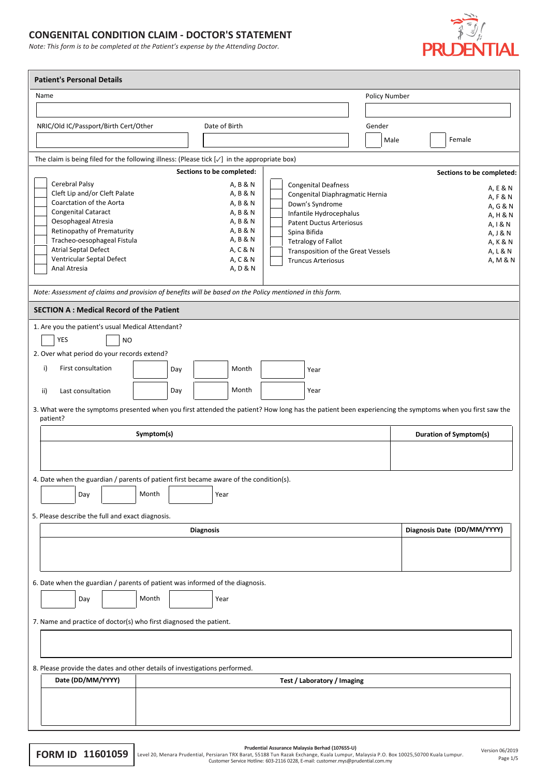## **CONGENITAL CONDITION CLAIM - DOCTOR'S STATEMENT**

*Note: This form is to be completed at the Patient's expense by the Attending Doctor.*



| <b>Patient's Personal Details</b>                                                                                                                                   |            |                           |                                                               |               |                               |
|---------------------------------------------------------------------------------------------------------------------------------------------------------------------|------------|---------------------------|---------------------------------------------------------------|---------------|-------------------------------|
| Name                                                                                                                                                                |            |                           |                                                               | Policy Number |                               |
|                                                                                                                                                                     |            |                           |                                                               |               |                               |
| NRIC/Old IC/Passport/Birth Cert/Other                                                                                                                               |            | Date of Birth             |                                                               | Gender        |                               |
|                                                                                                                                                                     |            |                           |                                                               | Male          | Female                        |
|                                                                                                                                                                     |            |                           |                                                               |               |                               |
| The claim is being filed for the following illness: (Please tick $[\sqrt{}]$ in the appropriate box)                                                                |            |                           |                                                               |               |                               |
|                                                                                                                                                                     |            | Sections to be completed: |                                                               |               | Sections to be completed:     |
| Cerebral Palsy<br>Cleft Lip and/or Cleft Palate                                                                                                                     |            | A, B & N<br>A, B & N      | <b>Congenital Deafness</b><br>Congenital Diaphragmatic Hernia |               | A, E & N                      |
| Coarctation of the Aorta                                                                                                                                            |            | A, B & N                  | Down's Syndrome                                               |               | A, F & N<br>A, G & N          |
| Congenital Cataract                                                                                                                                                 |            | A, B & N                  | Infantile Hydrocephalus                                       |               | A, H & N                      |
| Oesophageal Atresia                                                                                                                                                 |            | A, B & N                  | <b>Patent Ductus Arteriosus</b>                               |               | A, I & N                      |
| Retinopathy of Prematurity                                                                                                                                          |            | A, B & N                  | Spina Bifida                                                  |               | A, J & N                      |
| Tracheo-oesophageal Fistula                                                                                                                                         |            | A, B & N                  | <b>Tetralogy of Fallot</b>                                    |               | A, K & N                      |
| Atrial Septal Defect                                                                                                                                                |            | A, C & N                  | Transposition of the Great Vessels                            |               | A, L & N                      |
| Ventricular Septal Defect<br>Anal Atresia                                                                                                                           |            | A, C & N<br>A, D & N      | <b>Truncus Arteriosus</b>                                     |               | A, M & N                      |
|                                                                                                                                                                     |            |                           |                                                               |               |                               |
| Note: Assessment of claims and provision of benefits will be based on the Policy mentioned in this form.                                                            |            |                           |                                                               |               |                               |
| <b>SECTION A: Medical Record of the Patient</b>                                                                                                                     |            |                           |                                                               |               |                               |
| 1. Are you the patient's usual Medical Attendant?                                                                                                                   |            |                           |                                                               |               |                               |
| <b>YES</b><br><b>NO</b>                                                                                                                                             |            |                           |                                                               |               |                               |
| 2. Over what period do your records extend?                                                                                                                         |            |                           |                                                               |               |                               |
| First consultation<br>i)                                                                                                                                            | Day        | Month                     | Year                                                          |               |                               |
|                                                                                                                                                                     |            |                           |                                                               |               |                               |
| Last consultation<br>ii)                                                                                                                                            | Day        | Month                     | Year                                                          |               |                               |
| 3. What were the symptoms presented when you first attended the patient? How long has the patient been experiencing the symptoms when you first saw the<br>patient? |            |                           |                                                               |               |                               |
|                                                                                                                                                                     | Symptom(s) |                           |                                                               |               | <b>Duration of Symptom(s)</b> |
|                                                                                                                                                                     |            |                           |                                                               |               |                               |
|                                                                                                                                                                     |            |                           |                                                               |               |                               |
| 4. Date when the guardian / parents of patient first became aware of the condition(s).                                                                              |            |                           |                                                               |               |                               |
|                                                                                                                                                                     | Month      |                           |                                                               |               |                               |
| Day                                                                                                                                                                 |            | Year                      |                                                               |               |                               |
| 5. Please describe the full and exact diagnosis.                                                                                                                    |            |                           |                                                               |               |                               |
|                                                                                                                                                                     |            | <b>Diagnosis</b>          |                                                               |               | Diagnosis Date (DD/MM/YYYY)   |
|                                                                                                                                                                     |            |                           |                                                               |               |                               |
|                                                                                                                                                                     |            |                           |                                                               |               |                               |
|                                                                                                                                                                     |            |                           |                                                               |               |                               |
| 6. Date when the guardian / parents of patient was informed of the diagnosis.                                                                                       |            |                           |                                                               |               |                               |
| Day                                                                                                                                                                 | Month      | Year                      |                                                               |               |                               |
|                                                                                                                                                                     |            |                           |                                                               |               |                               |
| 7. Name and practice of doctor(s) who first diagnosed the patient.                                                                                                  |            |                           |                                                               |               |                               |
|                                                                                                                                                                     |            |                           |                                                               |               |                               |
|                                                                                                                                                                     |            |                           |                                                               |               |                               |
| 8. Please provide the dates and other details of investigations performed.                                                                                          |            |                           |                                                               |               |                               |
| Date (DD/MM/YYYY)                                                                                                                                                   |            |                           | Test / Laboratory / Imaging                                   |               |                               |
|                                                                                                                                                                     |            |                           |                                                               |               |                               |
|                                                                                                                                                                     |            |                           |                                                               |               |                               |
|                                                                                                                                                                     |            |                           |                                                               |               |                               |
|                                                                                                                                                                     |            |                           |                                                               |               |                               |

| Prudential Assurance Malaysia Berhad (107655-L |  |  |
|------------------------------------------------|--|--|
|                                                |  |  |

Prudential Assurance Malaysia Berhad (107655-U)<br>Level 20, Menara Prudential, Persiaran TRX Barat, 55188 Tun Razak Exchange, Kuala Lumpur. Malaysia P.O. Box 10025,50700 Kuala Lumpur.<br>Page 1/5 Customer Service Hotline: 603-2

Page 1/5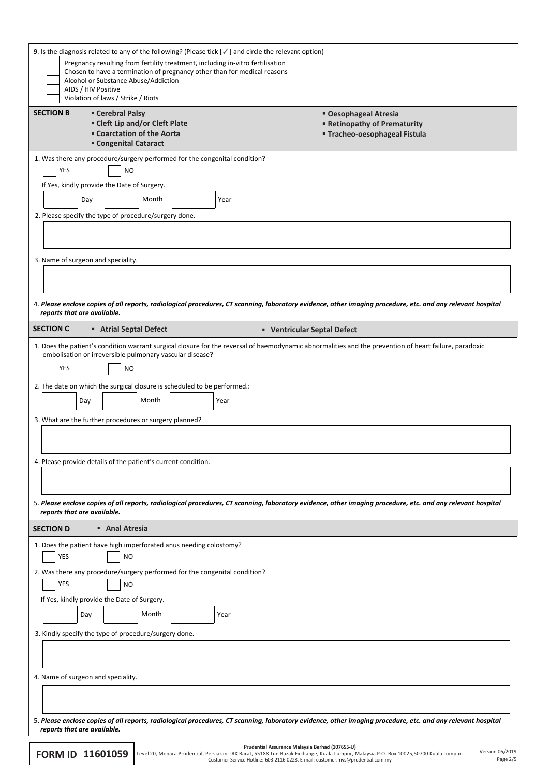| 9. Is the diagnosis related to any of the following? (Please tick $[\checkmark]$ and circle the relevant option)<br>Pregnancy resulting from fertility treatment, including in-vitro fertilisation<br>Chosen to have a termination of pregnancy other than for medical reasons<br>Alcohol or Substance Abuse/Addiction          |                                                                                                                                                                                                                                                                                                                       |
|---------------------------------------------------------------------------------------------------------------------------------------------------------------------------------------------------------------------------------------------------------------------------------------------------------------------------------|-----------------------------------------------------------------------------------------------------------------------------------------------------------------------------------------------------------------------------------------------------------------------------------------------------------------------|
| AIDS / HIV Positive<br>Violation of laws / Strike / Riots                                                                                                                                                                                                                                                                       |                                                                                                                                                                                                                                                                                                                       |
| <b>SECTION B</b><br><b>- Cerebral Palsy</b><br>- Cleft Lip and/or Cleft Plate<br><b>Example 1 Coarctation of the Aorta</b><br><b>- Congenital Cataract</b>                                                                                                                                                                      | " Oesophageal Atresia<br>Retinopathy of Prematurity<br>Tracheo-oesophageal Fistula                                                                                                                                                                                                                                    |
| 1. Was there any procedure/surgery performed for the congenital condition?<br><b>YES</b><br><b>NO</b><br>If Yes, kindly provide the Date of Surgery.<br>Month<br>Day<br>Year<br>2. Please specify the type of procedure/surgery done.                                                                                           |                                                                                                                                                                                                                                                                                                                       |
| 3. Name of surgeon and speciality.                                                                                                                                                                                                                                                                                              |                                                                                                                                                                                                                                                                                                                       |
| reports that are available.                                                                                                                                                                                                                                                                                                     | 4. Please enclose copies of all reports, radiological procedures, CT scanning, laboratory evidence, other imaging procedure, etc. and any relevant hospital                                                                                                                                                           |
| <b>SECTION C</b><br><b>Atrial Septal Defect</b>                                                                                                                                                                                                                                                                                 | • Ventricular Septal Defect                                                                                                                                                                                                                                                                                           |
| embolisation or irreversible pulmonary vascular disease?<br><b>YES</b><br><b>NO</b><br>2. The date on which the surgical closure is scheduled to be performed.:<br>Month<br>Day<br>Year<br>3. What are the further procedures or surgery planned?<br>4. Please provide details of the patient's current condition.              | 1. Does the patient's condition warrant surgical closure for the reversal of haemodynamic abnormalities and the prevention of heart failure, paradoxic<br>5. Please enclose copies of all reports, radiological procedures, CT scanning, laboratory evidence, other imaging procedure, etc. and any relevant hospital |
| reports that are available.<br>• Anal Atresia<br><b>SECTION D</b>                                                                                                                                                                                                                                                               |                                                                                                                                                                                                                                                                                                                       |
| 1. Does the patient have high imperforated anus needing colostomy?<br><b>YES</b><br><b>NO</b><br>2. Was there any procedure/surgery performed for the congenital condition?<br>YES<br><b>NO</b><br>If Yes, kindly provide the Date of Surgery.<br>Month<br>Day<br>Year<br>3. Kindly specify the type of procedure/surgery done. |                                                                                                                                                                                                                                                                                                                       |
| 4. Name of surgeon and speciality.                                                                                                                                                                                                                                                                                              |                                                                                                                                                                                                                                                                                                                       |
|                                                                                                                                                                                                                                                                                                                                 | 5. Please enclose copies of all reports, radiological procedures, CT scanning, laboratory evidence, other imaging procedure, etc. and any relevant hospital                                                                                                                                                           |
| reports that are available.                                                                                                                                                                                                                                                                                                     |                                                                                                                                                                                                                                                                                                                       |
| FORM ID 11601059                                                                                                                                                                                                                                                                                                                | Prudential Assurance Malaysia Berhad (107655-U)<br>Version 06/2019<br>Level 20, Menara Prudential, Persiaran TRX Barat, 55188 Tun Razak Exchange, Kuala Lumpur, Malaysia P.O. Box 10025,50700 Kuala Lumpur.<br>Page 2/!<br>Customer Service Hotline: 603-2116 0228, E-mail: customer.mys@prudential.com.my            |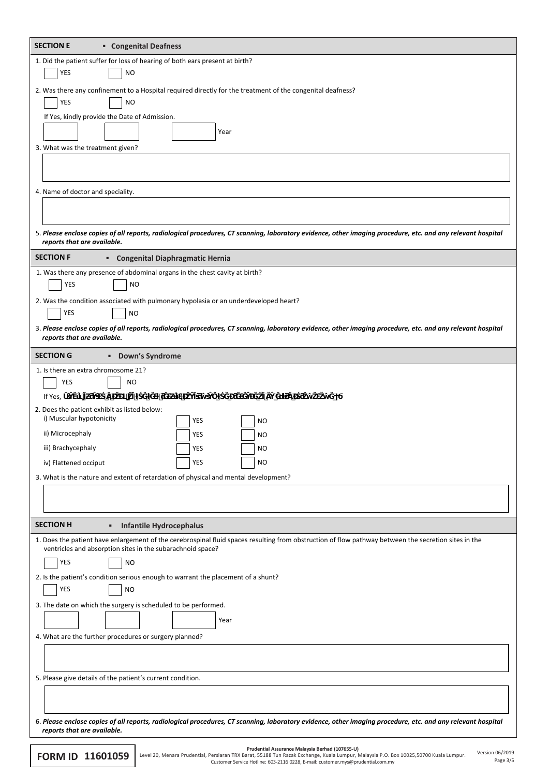| <b>SECTION E</b><br><b>• Congenital Deafness</b>                                                                                                                                                                   |
|--------------------------------------------------------------------------------------------------------------------------------------------------------------------------------------------------------------------|
| 1. Did the patient suffer for loss of hearing of both ears present at birth?                                                                                                                                       |
| YES<br><b>NO</b>                                                                                                                                                                                                   |
| 2. Was there any confinement to a Hospital required directly for the treatment of the congenital deafness?                                                                                                         |
| YES<br><b>NO</b>                                                                                                                                                                                                   |
| If Yes, kindly provide the Date of Admission.                                                                                                                                                                      |
| Year                                                                                                                                                                                                               |
| 3. What was the treatment given?                                                                                                                                                                                   |
|                                                                                                                                                                                                                    |
| 4. Name of doctor and speciality.                                                                                                                                                                                  |
|                                                                                                                                                                                                                    |
|                                                                                                                                                                                                                    |
| 5. Please enclose copies of all reports, radiological procedures, CT scanning, laboratory evidence, other imaging procedure, etc. and any relevant hospital<br>reports that are available.                         |
| <b>SECTION F</b><br><b>• Congenital Diaphragmatic Hernia</b>                                                                                                                                                       |
| 1. Was there any presence of abdominal organs in the chest cavity at birth?                                                                                                                                        |
| YES<br><b>NO</b>                                                                                                                                                                                                   |
| 2. Was the condition associated with pulmonary hypolasia or an underdeveloped heart?<br>YES                                                                                                                        |
| NO.<br>3. Please enclose copies of all reports, radiological procedures, CT scanning, laboratory evidence, other imaging procedure, etc. and any relevant hospital                                                 |
| reports that are available.                                                                                                                                                                                        |
| <b>SECTION G</b><br><b>•</b> Down's Syndrome                                                                                                                                                                       |
| 1. Is there an extra chromosome 21?                                                                                                                                                                                |
| YES<br>ΝO                                                                                                                                                                                                          |
| If Yes,                                                                                                                                                                                                            |
| 2. Does the patient exhibit as listed below:<br>i) Muscular hypotonicity<br>YES<br><b>NO</b>                                                                                                                       |
| ii) Microcephaly<br>YES<br>NO                                                                                                                                                                                      |
| iii) Brachycephaly<br>YES<br>NO                                                                                                                                                                                    |
| YES<br><b>NO</b><br>iv) Flattened occiput                                                                                                                                                                          |
| 3. What is the nature and extent of retardation of physical and mental development?                                                                                                                                |
|                                                                                                                                                                                                                    |
|                                                                                                                                                                                                                    |
| <b>SECTION H</b><br><b>Infantile Hydrocephalus</b>                                                                                                                                                                 |
| 1. Does the patient have enlargement of the cerebrospinal fluid spaces resulting from obstruction of flow pathway between the secretion sites in the<br>ventricles and absorption sites in the subarachnoid space? |
| YES<br><b>NO</b>                                                                                                                                                                                                   |
| 2. Is the patient's condition serious enough to warrant the placement of a shunt?                                                                                                                                  |
| YES<br><b>NO</b>                                                                                                                                                                                                   |
| 3. The date on which the surgery is scheduled to be performed.                                                                                                                                                     |
| Year                                                                                                                                                                                                               |
| 4. What are the further procedures or surgery planned?                                                                                                                                                             |
|                                                                                                                                                                                                                    |
|                                                                                                                                                                                                                    |
| 5. Please give details of the patient's current condition.                                                                                                                                                         |
|                                                                                                                                                                                                                    |
| 6. Please enclose copies of all reports, radiological procedures, CT scanning, laboratory evidence, other imaging procedure, etc. and any relevant hospital                                                        |
| reports that are available.                                                                                                                                                                                        |
| Prudential Assurance Malaysia Berhad (107655-U)<br>Version 06/2019<br>TDVD                                                                                                                                         |

Prudential Assurance Malaysia Berhad (107655-U)<br>Customer Service Hotline: 63188 Tun Razak Exchange, Kuala Lumpur, Malaysia P.O. Box 10025,50700 Kuala Lumpur.<br>Customer Service Hotline: 603-2116 0228, E-mail: customer.mys@pr

Page 3/5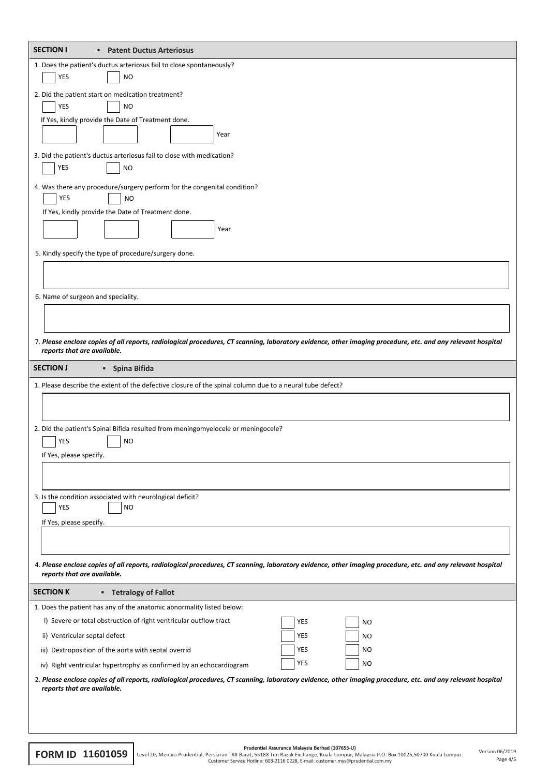| 1. Does the patient's ductus arteriosus fail to close spontaneously?<br>YES<br><b>NO</b><br>2. Did the patient start on medication treatment?<br>YES<br><b>NO</b><br>If Yes, kindly provide the Date of Treatment done.<br>Year<br>3. Did the patient's ductus arteriosus fail to close with medication?<br>YES<br><b>NO</b><br>4. Was there any procedure/surgery perform for the congenital condition?<br>YES<br><b>NO</b><br>If Yes, kindly provide the Date of Treatment done.<br>Year<br>5. Kindly specify the type of procedure/surgery done.<br>6. Name of surgeon and speciality. |  |  |  |  |
|-------------------------------------------------------------------------------------------------------------------------------------------------------------------------------------------------------------------------------------------------------------------------------------------------------------------------------------------------------------------------------------------------------------------------------------------------------------------------------------------------------------------------------------------------------------------------------------------|--|--|--|--|
|                                                                                                                                                                                                                                                                                                                                                                                                                                                                                                                                                                                           |  |  |  |  |
|                                                                                                                                                                                                                                                                                                                                                                                                                                                                                                                                                                                           |  |  |  |  |
|                                                                                                                                                                                                                                                                                                                                                                                                                                                                                                                                                                                           |  |  |  |  |
|                                                                                                                                                                                                                                                                                                                                                                                                                                                                                                                                                                                           |  |  |  |  |
|                                                                                                                                                                                                                                                                                                                                                                                                                                                                                                                                                                                           |  |  |  |  |
|                                                                                                                                                                                                                                                                                                                                                                                                                                                                                                                                                                                           |  |  |  |  |
|                                                                                                                                                                                                                                                                                                                                                                                                                                                                                                                                                                                           |  |  |  |  |
|                                                                                                                                                                                                                                                                                                                                                                                                                                                                                                                                                                                           |  |  |  |  |
|                                                                                                                                                                                                                                                                                                                                                                                                                                                                                                                                                                                           |  |  |  |  |
|                                                                                                                                                                                                                                                                                                                                                                                                                                                                                                                                                                                           |  |  |  |  |
|                                                                                                                                                                                                                                                                                                                                                                                                                                                                                                                                                                                           |  |  |  |  |
|                                                                                                                                                                                                                                                                                                                                                                                                                                                                                                                                                                                           |  |  |  |  |
| 7. Please enclose copies of all reports, radiological procedures, CT scanning, laboratory evidence, other imaging procedure, etc. and any relevant hospital<br>reports that are available.                                                                                                                                                                                                                                                                                                                                                                                                |  |  |  |  |
| <b>SECTION J</b><br>• Spina Bifida                                                                                                                                                                                                                                                                                                                                                                                                                                                                                                                                                        |  |  |  |  |
| 1. Please describe the extent of the defective closure of the spinal column due to a neural tube defect?                                                                                                                                                                                                                                                                                                                                                                                                                                                                                  |  |  |  |  |
|                                                                                                                                                                                                                                                                                                                                                                                                                                                                                                                                                                                           |  |  |  |  |
|                                                                                                                                                                                                                                                                                                                                                                                                                                                                                                                                                                                           |  |  |  |  |
| 2. Did the patient's Spinal Bifida resulted from meningomyelocele or meningocele?<br>YES<br><b>NO</b>                                                                                                                                                                                                                                                                                                                                                                                                                                                                                     |  |  |  |  |
| If Yes, please specify.                                                                                                                                                                                                                                                                                                                                                                                                                                                                                                                                                                   |  |  |  |  |
|                                                                                                                                                                                                                                                                                                                                                                                                                                                                                                                                                                                           |  |  |  |  |
| 3. Is the condition associated with neurological deficit?<br>YES<br><b>NO</b>                                                                                                                                                                                                                                                                                                                                                                                                                                                                                                             |  |  |  |  |
| If Yes, please specify.                                                                                                                                                                                                                                                                                                                                                                                                                                                                                                                                                                   |  |  |  |  |
|                                                                                                                                                                                                                                                                                                                                                                                                                                                                                                                                                                                           |  |  |  |  |
| 4. Please enclose copies of all reports, radiological procedures, CT scanning, laboratory evidence, other imaging procedure, etc. and any relevant hospital                                                                                                                                                                                                                                                                                                                                                                                                                               |  |  |  |  |
| reports that are available.<br><b>SECTION K</b>                                                                                                                                                                                                                                                                                                                                                                                                                                                                                                                                           |  |  |  |  |
| <b>Exercise Tetralogy of Fallot</b><br>1. Does the patient has any of the anatomic abnormality listed below:                                                                                                                                                                                                                                                                                                                                                                                                                                                                              |  |  |  |  |
| i) Severe or total obstruction of right ventricular outflow tract<br>YES<br>NO.                                                                                                                                                                                                                                                                                                                                                                                                                                                                                                           |  |  |  |  |
| ii) Ventricular septal defect<br>YES<br>NO.                                                                                                                                                                                                                                                                                                                                                                                                                                                                                                                                               |  |  |  |  |
| YES<br>iii) Dextroposition of the aorta with septal overrid<br>NO                                                                                                                                                                                                                                                                                                                                                                                                                                                                                                                         |  |  |  |  |
| YES<br>NO.                                                                                                                                                                                                                                                                                                                                                                                                                                                                                                                                                                                |  |  |  |  |
| iv) Right ventricular hypertrophy as confirmed by an echocardiogram                                                                                                                                                                                                                                                                                                                                                                                                                                                                                                                       |  |  |  |  |
| 2. Please enclose copies of all reports, radiological procedures, CT scanning, laboratory evidence, other imaging procedure, etc. and any relevant hospital<br>reports that are available.                                                                                                                                                                                                                                                                                                                                                                                                |  |  |  |  |
|                                                                                                                                                                                                                                                                                                                                                                                                                                                                                                                                                                                           |  |  |  |  |

**FORM ID 11601059** Level 20, Menara Prudential, Persiaran TRX Barat, S5188 Tun Razak Exchange, Kuala Lumpur, Version 06/2015 Level 20, Menara Prudential, Persiaran TRX Barat, S5188 Tun Razak Exchange, Kuala Lumpur, Version

Page 4/5